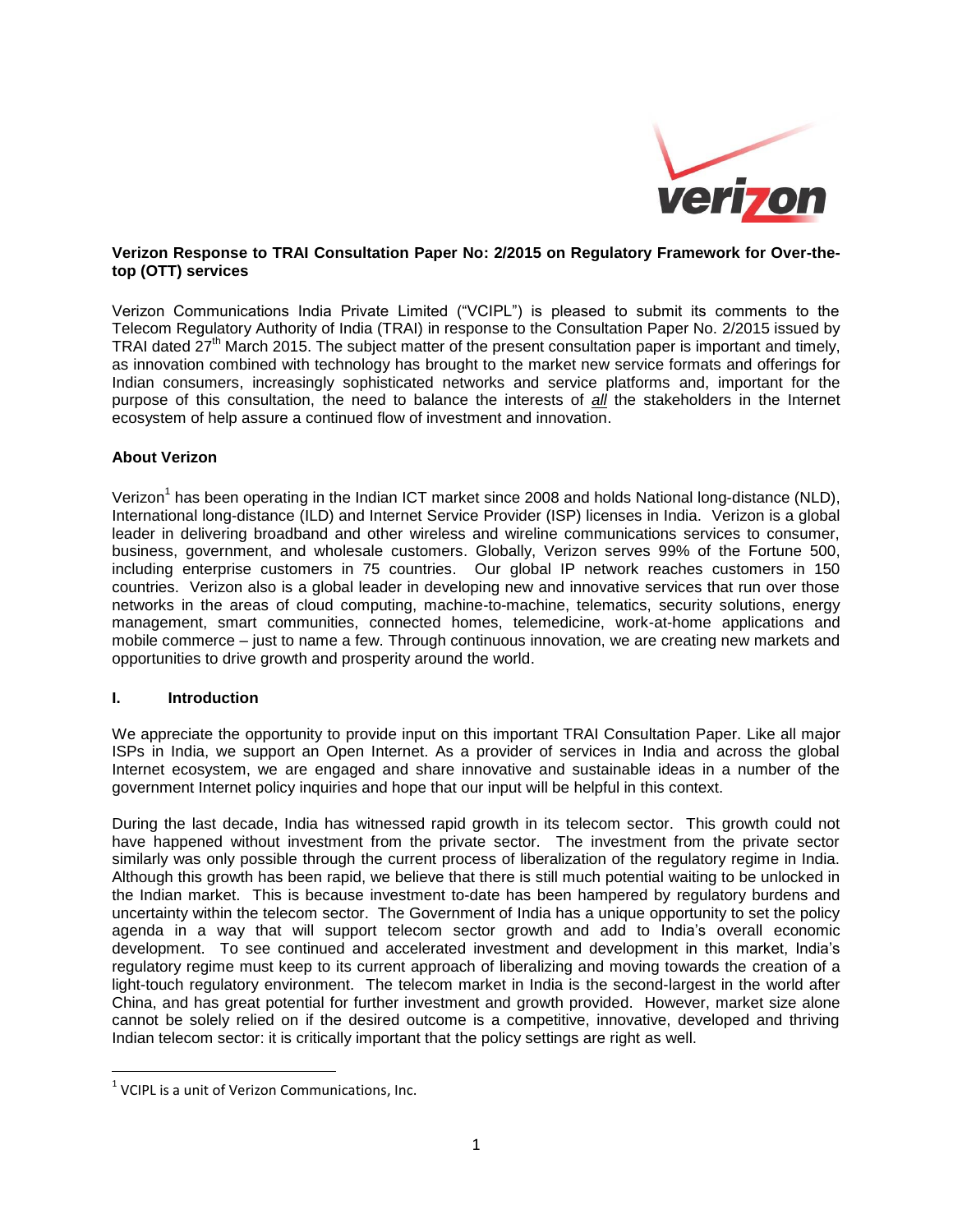

### **Verizon Response to TRAI Consultation Paper No: 2/2015 on Regulatory Framework for Over-thetop (OTT) services**

Verizon Communications India Private Limited ("VCIPL") is pleased to submit its comments to the Telecom Regulatory Authority of India (TRAI) in response to the Consultation Paper No. 2/2015 issued by TRAI dated  $27<sup>th</sup>$  March 2015. The subject matter of the present consultation paper is important and timely, as innovation combined with technology has brought to the market new service formats and offerings for Indian consumers, increasingly sophisticated networks and service platforms and, important for the purpose of this consultation, the need to balance the interests of *all* the stakeholders in the Internet ecosystem of help assure a continued flow of investment and innovation.

### **About Verizon**

Verizon<sup>1</sup> has been operating in the Indian ICT market since 2008 and holds National long-distance (NLD), International long-distance (ILD) and Internet Service Provider (ISP) licenses in India. Verizon is a global leader in delivering broadband and other wireless and wireline communications services to consumer, business, government, and wholesale customers. Globally, Verizon serves 99% of the Fortune 500, including enterprise customers in 75 countries. Our global IP network reaches customers in 150 countries. Verizon also is a global leader in developing new and innovative services that run over those networks in the areas of cloud computing, machine-to-machine, telematics, security solutions, energy management, smart communities, connected homes, telemedicine, work-at-home applications and mobile commerce – just to name a few. Through continuous innovation, we are creating new markets and opportunities to drive growth and prosperity around the world.

### **I. Introduction**

 $\overline{\phantom{a}}$ 

We appreciate the opportunity to provide input on this important TRAI Consultation Paper. Like all major ISPs in India, we support an Open Internet. As a provider of services in India and across the global Internet ecosystem, we are engaged and share innovative and sustainable ideas in a number of the government Internet policy inquiries and hope that our input will be helpful in this context.

During the last decade, India has witnessed rapid growth in its telecom sector. This growth could not have happened without investment from the private sector. The investment from the private sector similarly was only possible through the current process of liberalization of the regulatory regime in India. Although this growth has been rapid, we believe that there is still much potential waiting to be unlocked in the Indian market. This is because investment to-date has been hampered by regulatory burdens and uncertainty within the telecom sector. The Government of India has a unique opportunity to set the policy agenda in a way that will support telecom sector growth and add to India's overall economic development. To see continued and accelerated investment and development in this market, India's regulatory regime must keep to its current approach of liberalizing and moving towards the creation of a light-touch regulatory environment. The telecom market in India is the second-largest in the world after China, and has great potential for further investment and growth provided. However, market size alone cannot be solely relied on if the desired outcome is a competitive, innovative, developed and thriving Indian telecom sector: it is critically important that the policy settings are right as well.

 $1$  VCIPL is a unit of Verizon Communications, Inc.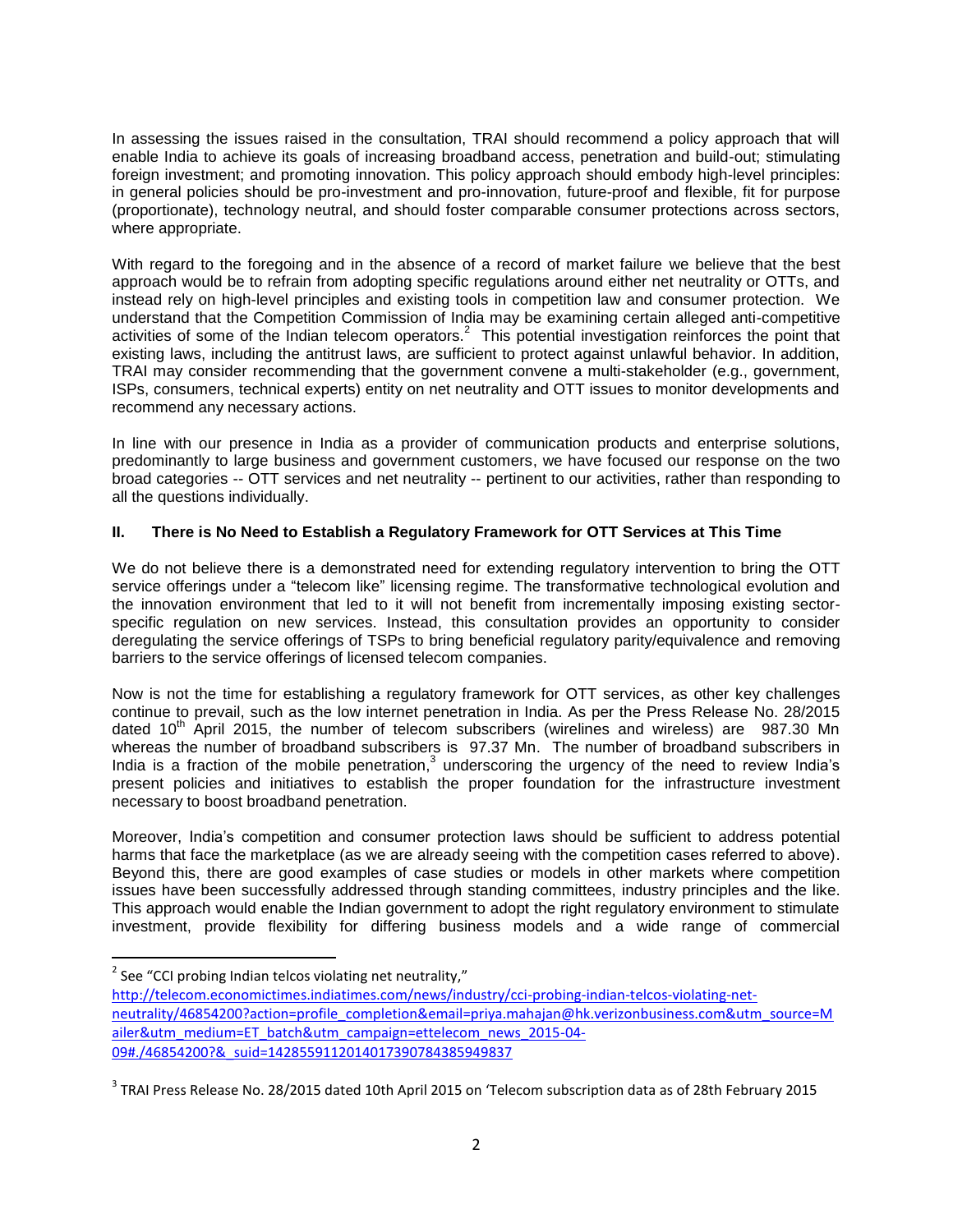In assessing the issues raised in the consultation, TRAI should recommend a policy approach that will enable India to achieve its goals of increasing broadband access, penetration and build-out; stimulating foreign investment; and promoting innovation. This policy approach should embody high-level principles: in general policies should be pro-investment and pro-innovation, future-proof and flexible, fit for purpose (proportionate), technology neutral, and should foster comparable consumer protections across sectors, where appropriate.

With regard to the foregoing and in the absence of a record of market failure we believe that the best approach would be to refrain from adopting specific regulations around either net neutrality or OTTs, and instead rely on high-level principles and existing tools in competition law and consumer protection. We understand that the Competition Commission of India may be examining certain alleged anti-competitive activities of some of the Indian telecom operators.<sup>2</sup> This potential investigation reinforces the point that existing laws, including the antitrust laws, are sufficient to protect against unlawful behavior. In addition, TRAI may consider recommending that the government convene a multi-stakeholder (e.g., government, ISPs, consumers, technical experts) entity on net neutrality and OTT issues to monitor developments and recommend any necessary actions.

In line with our presence in India as a provider of communication products and enterprise solutions, predominantly to large business and government customers, we have focused our response on the two broad categories -- OTT services and net neutrality -- pertinent to our activities, rather than responding to all the questions individually.

# **II. There is No Need to Establish a Regulatory Framework for OTT Services at This Time**

We do not believe there is a demonstrated need for extending regulatory intervention to bring the OTT service offerings under a "telecom like" licensing regime. The transformative technological evolution and the innovation environment that led to it will not benefit from incrementally imposing existing sectorspecific regulation on new services. Instead, this consultation provides an opportunity to consider deregulating the service offerings of TSPs to bring beneficial regulatory parity/equivalence and removing barriers to the service offerings of licensed telecom companies.

Now is not the time for establishing a regulatory framework for OTT services, as other key challenges continue to prevail, such as the low internet penetration in India. As per the Press Release No. 28/2015 dated  $10<sup>th</sup>$  April 2015, the number of telecom subscribers (wirelines and wireless) are 987.30 Mn whereas the number of broadband subscribers is 97.37 Mn. The number of broadband subscribers in India is a fraction of the mobile penetration,<sup>3</sup> underscoring the urgency of the need to review India's present policies and initiatives to establish the proper foundation for the infrastructure investment necessary to boost broadband penetration.

Moreover, India's competition and consumer protection laws should be sufficient to address potential harms that face the marketplace (as we are already seeing with the competition cases referred to above). Beyond this, there are good examples of case studies or models in other markets where competition issues have been successfully addressed through standing committees, industry principles and the like. This approach would enable the Indian government to adopt the right regulatory environment to stimulate investment, provide flexibility for differing business models and a wide range of commercial

 $\overline{\phantom{a}}$  $2$  See "CCI probing Indian telcos violating net neutrality,"

[http://telecom.economictimes.indiatimes.com/news/industry/cci-probing-indian-telcos-violating-net](http://telecom.economictimes.indiatimes.com/news/industry/cci-probing-indian-telcos-violating-net-neutrality/46854200?action=profile_completion&email=priya.mahajan@hk.verizonbusiness.com&utm_source=Mailer&utm_medium=ET_batch&utm_campaign=ettelecom_news_2015-04-09#./46854200?&_suid=1428559112014017390784385949837)[neutrality/46854200?action=profile\\_completion&email=priya.mahajan@hk.verizonbusiness.com&utm\\_source=M](http://telecom.economictimes.indiatimes.com/news/industry/cci-probing-indian-telcos-violating-net-neutrality/46854200?action=profile_completion&email=priya.mahajan@hk.verizonbusiness.com&utm_source=Mailer&utm_medium=ET_batch&utm_campaign=ettelecom_news_2015-04-09#./46854200?&_suid=1428559112014017390784385949837) [ailer&utm\\_medium=ET\\_batch&utm\\_campaign=ettelecom\\_news\\_2015-04-](http://telecom.economictimes.indiatimes.com/news/industry/cci-probing-indian-telcos-violating-net-neutrality/46854200?action=profile_completion&email=priya.mahajan@hk.verizonbusiness.com&utm_source=Mailer&utm_medium=ET_batch&utm_campaign=ettelecom_news_2015-04-09#./46854200?&_suid=1428559112014017390784385949837) [09#./46854200?&\\_suid=1428559112014017390784385949837](http://telecom.economictimes.indiatimes.com/news/industry/cci-probing-indian-telcos-violating-net-neutrality/46854200?action=profile_completion&email=priya.mahajan@hk.verizonbusiness.com&utm_source=Mailer&utm_medium=ET_batch&utm_campaign=ettelecom_news_2015-04-09#./46854200?&_suid=1428559112014017390784385949837)

<sup>&</sup>lt;sup>3</sup> TRAI Press Release No. 28/2015 dated 10th April 2015 on 'Telecom subscription data as of 28th February 2015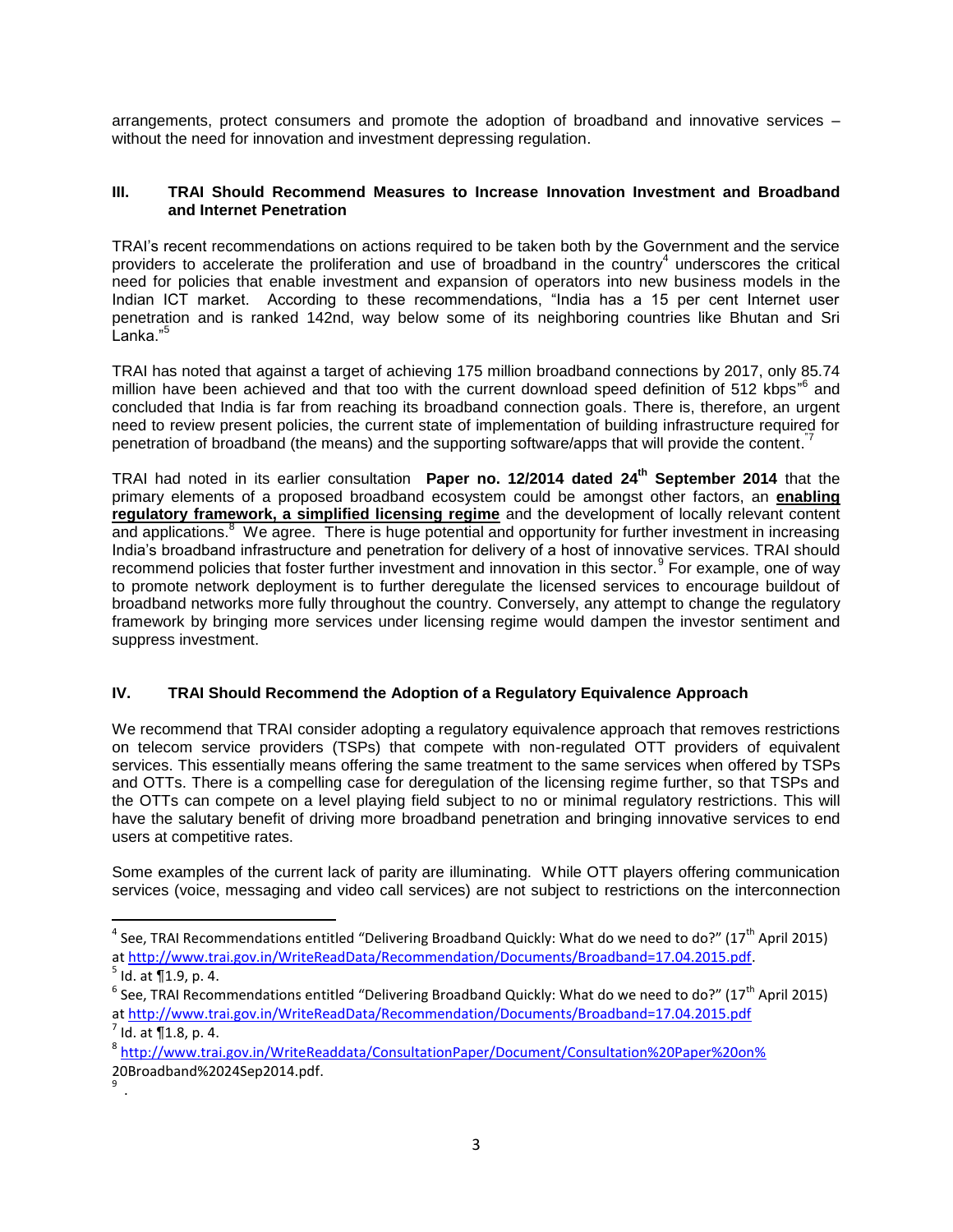arrangements, protect consumers and promote the adoption of broadband and innovative services – without the need for innovation and investment depressing regulation.

### **III. TRAI Should Recommend Measures to Increase Innovation Investment and Broadband and Internet Penetration**

TRAI's recent recommendations on actions required to be taken both by the Government and the service providers to accelerate the proliferation and use of broadband in the country<sup>4</sup> underscores the critical need for policies that enable investment and expansion of operators into new business models in the Indian ICT market. According to these recommendations, "India has a 15 per cent Internet user penetration and is ranked 142nd, way below some of its neighboring countries like Bhutan and Sri .<br>Lanka."<sup>5</sup>

TRAI has noted that against a target of achieving 175 million broadband connections by 2017, only 85.74 million have been achieved and that too with the current download speed definition of 512 kbps<sup>"6</sup> and concluded that India is far from reaching its broadband connection goals. There is, therefore, an urgent need to review present policies, the current state of implementation of building infrastructure required for penetration of broadband (the means) and the supporting software/apps that will provide the content.<sup>"7</sup>

TRAI had noted in its earlier consultation **Paper no. 12/2014 dated 24th September 2014** that the primary elements of a proposed broadband ecosystem could be amongst other factors, an **enabling regulatory framework, a simplified licensing regime** and the development of locally relevant content and applications.<sup>8</sup> We agree. There is huge potential and opportunity for further investment in increasing India's broadband infrastructure and penetration for delivery of a host of innovative services. TRAI should recommend policies that foster further investment and innovation in this sector.<sup>9</sup> For example, one of way to promote network deployment is to further deregulate the licensed services to encourage buildout of broadband networks more fully throughout the country. Conversely, any attempt to change the regulatory framework by bringing more services under licensing regime would dampen the investor sentiment and suppress investment.

# **IV. TRAI Should Recommend the Adoption of a Regulatory Equivalence Approach**

We recommend that TRAI consider adopting a regulatory equivalence approach that removes restrictions on telecom service providers (TSPs) that compete with non-regulated OTT providers of equivalent services. This essentially means offering the same treatment to the same services when offered by TSPs and OTTs. There is a compelling case for deregulation of the licensing regime further, so that TSPs and the OTTs can compete on a level playing field subject to no or minimal regulatory restrictions. This will have the salutary benefit of driving more broadband penetration and bringing innovative services to end users at competitive rates.

Some examples of the current lack of parity are illuminating. While OTT players offering communication services (voice, messaging and video call services) are not subject to restrictions on the interconnection

 $\overline{\phantom{a}}$ 

<sup>&</sup>lt;sup>4</sup> See, TRAI Recommendations entitled "Delivering Broadband Quickly: What do we need to do?" (17<sup>th</sup> April 2015) a[t http://www.trai.gov.in/WriteReadData/Recommendation/Documents/Broadband=17.04.2015.pdf.](http://www.trai.gov.in/WriteReadData/Recommendation/Documents/Broadband=17.04.2015.pdf)

 $<sup>5</sup>$  Id. at  $\P$ 1.9, p. 4.</sup>

 $^6$  See, TRAI Recommendations entitled "Delivering Broadband Quickly: What do we need to do?" (17<sup>th</sup> April 2015) a[t http://www.trai.gov.in/WriteReadData/Recommendation/Documents/Broadband=17.04.2015.pdf](http://www.trai.gov.in/WriteReadData/Recommendation/Documents/Broadband=17.04.2015.pdf)  $^7$  Id. at  $\P$ 1.8, p. 4.

<sup>8</sup> [http://www.trai.gov.in/WriteReaddata/ConsultationPaper/Document/Consultation%20Paper%20on%](http://www.trai.gov.in/WriteReaddata/ConsultationPaper/Document/Consultation%20Paper%20on%25) 20Broadband%2024Sep2014.pdf.

<sup>9</sup> .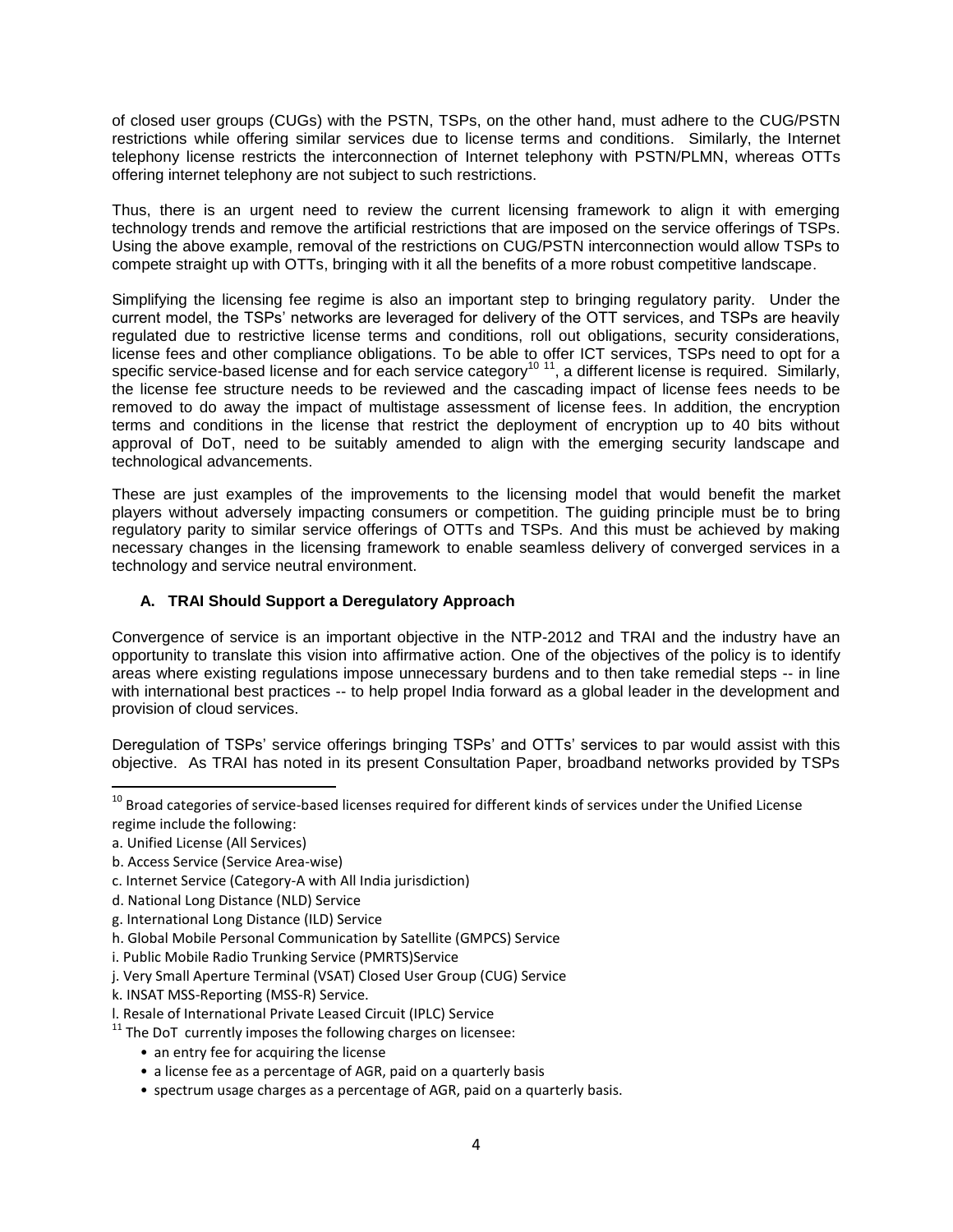of closed user groups (CUGs) with the PSTN, TSPs, on the other hand, must adhere to the CUG/PSTN restrictions while offering similar services due to license terms and conditions. Similarly, the Internet telephony license restricts the interconnection of Internet telephony with PSTN/PLMN, whereas OTTs offering internet telephony are not subject to such restrictions.

Thus, there is an urgent need to review the current licensing framework to align it with emerging technology trends and remove the artificial restrictions that are imposed on the service offerings of TSPs. Using the above example, removal of the restrictions on CUG/PSTN interconnection would allow TSPs to compete straight up with OTTs, bringing with it all the benefits of a more robust competitive landscape.

Simplifying the licensing fee regime is also an important step to bringing regulatory parity. Under the current model, the TSPs' networks are leveraged for delivery of the OTT services, and TSPs are heavily regulated due to restrictive license terms and conditions, roll out obligations, security considerations, license fees and other compliance obligations. To be able to offer ICT services, TSPs need to opt for a specific service-based license and for each service category<sup>10 11</sup>, a different license is required. Similarly, the license fee structure needs to be reviewed and the cascading impact of license fees needs to be removed to do away the impact of multistage assessment of license fees. In addition, the encryption terms and conditions in the license that restrict the deployment of encryption up to 40 bits without approval of DoT, need to be suitably amended to align with the emerging security landscape and technological advancements.

These are just examples of the improvements to the licensing model that would benefit the market players without adversely impacting consumers or competition. The guiding principle must be to bring regulatory parity to similar service offerings of OTTs and TSPs. And this must be achieved by making necessary changes in the licensing framework to enable seamless delivery of converged services in a technology and service neutral environment.

# **A. TRAI Should Support a Deregulatory Approach**

Convergence of service is an important objective in the NTP-2012 and TRAI and the industry have an opportunity to translate this vision into affirmative action. One of the objectives of the policy is to identify areas where existing regulations impose unnecessary burdens and to then take remedial steps -- in line with international best practices -- to help propel India forward as a global leader in the development and provision of cloud services.

Deregulation of TSPs' service offerings bringing TSPs' and OTTs' services to par would assist with this objective. As TRAI has noted in its present Consultation Paper, broadband networks provided by TSPs

 $\overline{\phantom{a}}$ 

- d. National Long Distance (NLD) Service
- g. International Long Distance (ILD) Service
- h. Global Mobile Personal Communication by Satellite (GMPCS) Service
- i. Public Mobile Radio Trunking Service (PMRTS)Service
- j. Very Small Aperture Terminal (VSAT) Closed User Group (CUG) Service
- k. INSAT MSS-Reporting (MSS-R) Service.
- l. Resale of International Private Leased Circuit (IPLC) Service

 $11$  The DoT currently imposes the following charges on licensee:

- an entry fee for acquiring the license
- a license fee as a percentage of AGR, paid on a quarterly basis
- spectrum usage charges as a percentage of AGR, paid on a quarterly basis.

 $10$  Broad categories of service-based licenses required for different kinds of services under the Unified License regime include the following:

a. Unified License (All Services)

b. Access Service (Service Area-wise)

c. Internet Service (Category-A with All India jurisdiction)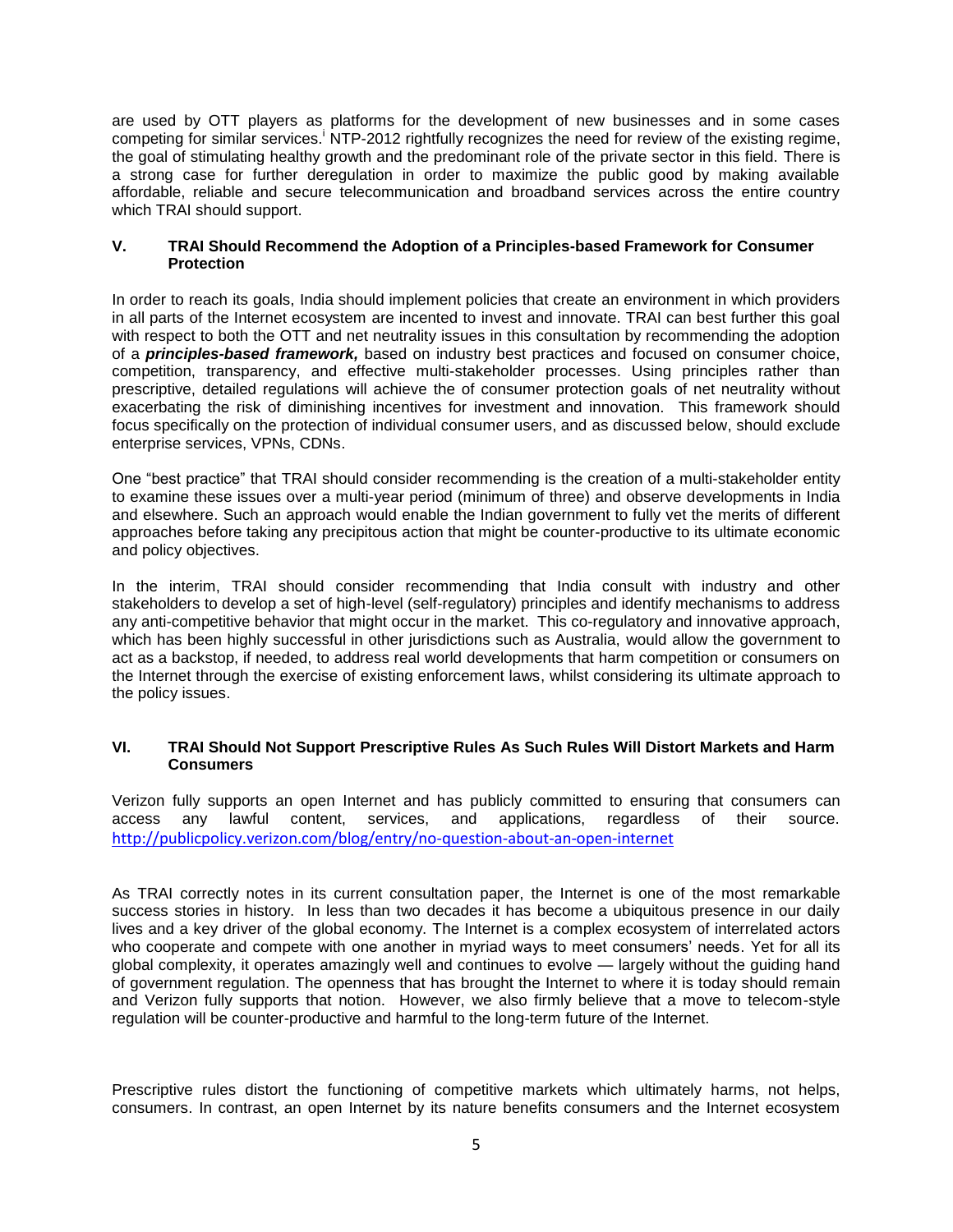are used by OTT players as platforms for the development of new businesses and in some cases competing for similar services. NTP-2012 rightfully recognizes the need for review of the existing regime, the goal of stimulating healthy growth and the predominant role of the private sector in this field. There is a strong case for further deregulation in order to maximize the public good by making available affordable, reliable and secure telecommunication and broadband services across the entire country which TRAI should support.

#### **V. TRAI Should Recommend the Adoption of a Principles-based Framework for Consumer Protection**

In order to reach its goals, India should implement policies that create an environment in which providers in all parts of the Internet ecosystem are incented to invest and innovate. TRAI can best further this goal with respect to both the OTT and net neutrality issues in this consultation by recommending the adoption of a *principles-based framework,* based on industry best practices and focused on consumer choice, competition, transparency, and effective multi-stakeholder processes. Using principles rather than prescriptive, detailed regulations will achieve the of consumer protection goals of net neutrality without exacerbating the risk of diminishing incentives for investment and innovation. This framework should focus specifically on the protection of individual consumer users, and as discussed below, should exclude enterprise services, VPNs, CDNs.

One "best practice" that TRAI should consider recommending is the creation of a multi-stakeholder entity to examine these issues over a multi-year period (minimum of three) and observe developments in India and elsewhere. Such an approach would enable the Indian government to fully vet the merits of different approaches before taking any precipitous action that might be counter-productive to its ultimate economic and policy objectives.

In the interim, TRAI should consider recommending that India consult with industry and other stakeholders to develop a set of high-level (self-regulatory) principles and identify mechanisms to address any anti-competitive behavior that might occur in the market. This co-regulatory and innovative approach, which has been highly successful in other jurisdictions such as Australia, would allow the government to act as a backstop, if needed, to address real world developments that harm competition or consumers on the Internet through the exercise of existing enforcement laws, whilst considering its ultimate approach to the policy issues.

### **VI. TRAI Should Not Support Prescriptive Rules As Such Rules Will Distort Markets and Harm Consumers**

Verizon fully supports an open Internet and has publicly committed to ensuring that consumers can access any lawful content, services, and applications, regardless of their source. <http://publicpolicy.verizon.com/blog/entry/no-question-about-an-open-internet>

As TRAI correctly notes in its current consultation paper, the Internet is one of the most remarkable success stories in history. In less than two decades it has become a ubiquitous presence in our daily lives and a key driver of the global economy. The Internet is a complex ecosystem of interrelated actors who cooperate and compete with one another in myriad ways to meet consumers' needs. Yet for all its global complexity, it operates amazingly well and continues to evolve — largely without the guiding hand of government regulation. The openness that has brought the Internet to where it is today should remain and Verizon fully supports that notion. However, we also firmly believe that a move to telecom-style regulation will be counter-productive and harmful to the long-term future of the Internet.

Prescriptive rules distort the functioning of competitive markets which ultimately harms, not helps, consumers. In contrast, an open Internet by its nature benefits consumers and the Internet ecosystem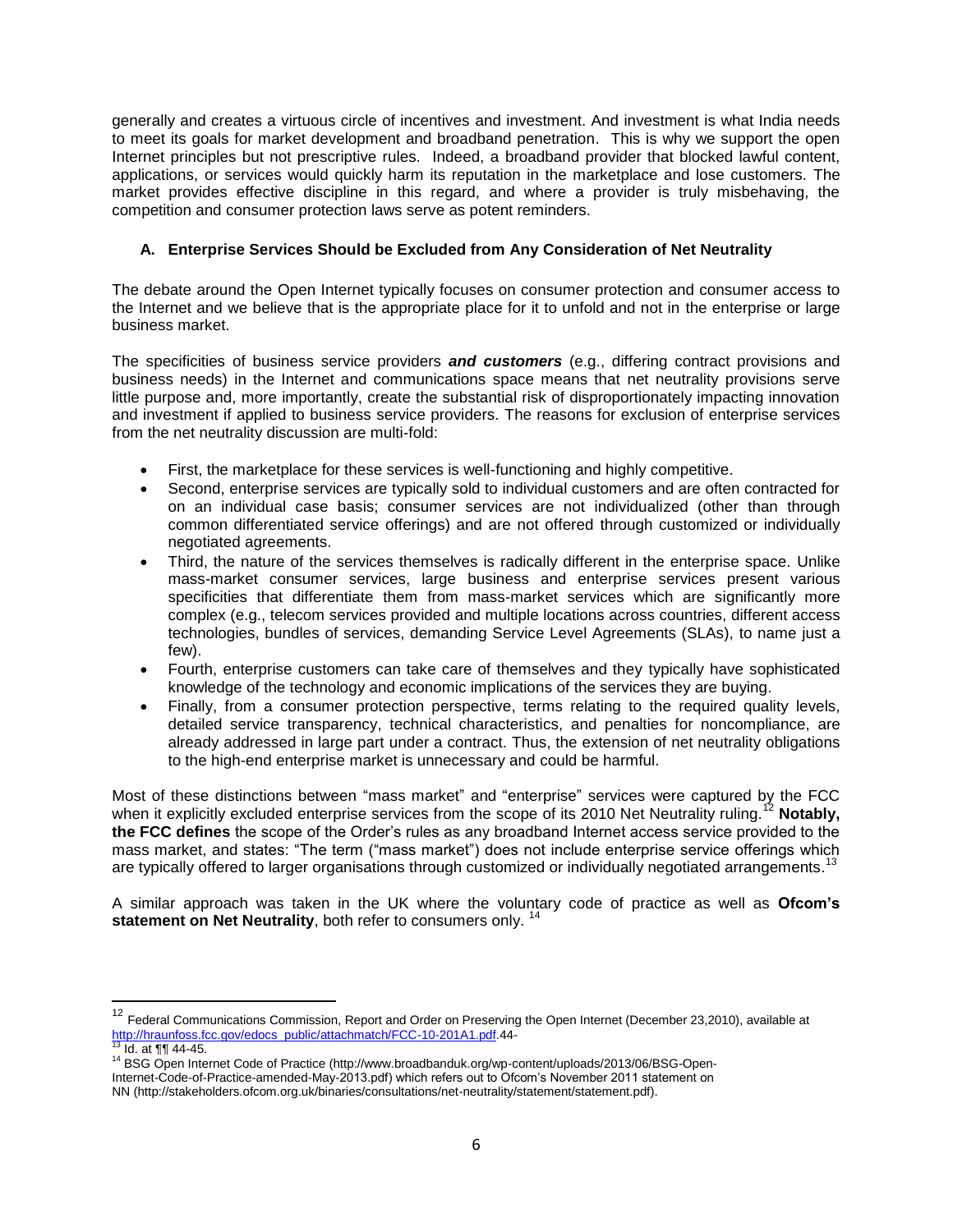generally and creates a virtuous circle of incentives and investment. And investment is what India needs to meet its goals for market development and broadband penetration. This is why we support the open Internet principles but not prescriptive rules. Indeed, a broadband provider that blocked lawful content, applications, or services would quickly harm its reputation in the marketplace and lose customers. The market provides effective discipline in this regard, and where a provider is truly misbehaving, the competition and consumer protection laws serve as potent reminders.

# **A. Enterprise Services Should be Excluded from Any Consideration of Net Neutrality**

The debate around the Open Internet typically focuses on consumer protection and consumer access to the Internet and we believe that is the appropriate place for it to unfold and not in the enterprise or large business market.

The specificities of business service providers *and customers* (e.g., differing contract provisions and business needs) in the Internet and communications space means that net neutrality provisions serve little purpose and, more importantly, create the substantial risk of disproportionately impacting innovation and investment if applied to business service providers. The reasons for exclusion of enterprise services from the net neutrality discussion are multi-fold:

- First, the marketplace for these services is well-functioning and highly competitive.
- Second, enterprise services are typically sold to individual customers and are often contracted for on an individual case basis; consumer services are not individualized (other than through common differentiated service offerings) and are not offered through customized or individually negotiated agreements.
- Third, the nature of the services themselves is radically different in the enterprise space. Unlike mass-market consumer services, large business and enterprise services present various specificities that differentiate them from mass-market services which are significantly more complex (e.g., telecom services provided and multiple locations across countries, different access technologies, bundles of services, demanding Service Level Agreements (SLAs), to name just a few).
- Fourth, enterprise customers can take care of themselves and they typically have sophisticated knowledge of the technology and economic implications of the services they are buying.
- Finally, from a consumer protection perspective, terms relating to the required quality levels, detailed service transparency, technical characteristics, and penalties for noncompliance, are already addressed in large part under a contract. Thus, the extension of net neutrality obligations to the high-end enterprise market is unnecessary and could be harmful.

Most of these distinctions between "mass market" and "enterprise" services were captured by the FCC when it explicitly excluded enterprise services from the scope of its 2010 Net Neutrality ruling.<sup>12</sup> Notably, **the FCC defines** the scope of the Order's rules as any broadband Internet access service provided to the mass market, and states: "The term ("mass market") does not include enterprise service offerings which are typically offered to larger organisations through customized or individually negotiated arrangements.<sup>13</sup>

A similar approach was taken in the UK where the voluntary code of practice as well as **Ofcom's**  statement on Net Neutrality, both refer to consumers only.<sup>14</sup>

 $\overline{a}$ 

<sup>&</sup>lt;sup>12</sup> Federal Communications Commission, Report and Order on Preserving the Open Internet (December 23,2010), available at [http://hraunfoss.fcc.gov/edocs\\_public/attachmatch/FCC-10-201A1.pdf.](http://hraunfoss.fcc.gov/edocs_public/attachmatch/FCC-10-201A1.pdf)44-<br><sup>13</sup> Id. at ¶¶ 44-45.

<sup>14</sup> BSG Open Internet Code of Practice (http://www.broadbanduk.org/wp-content/uploads/2013/06/BSG-Open-Internet-Code-of-Practice-amended-May-2013.pdf) which refers out to Ofcom's November 2011 statement on

NN (http://stakeholders.ofcom.org.uk/binaries/consultations/net-neutrality/statement/statement.pdf).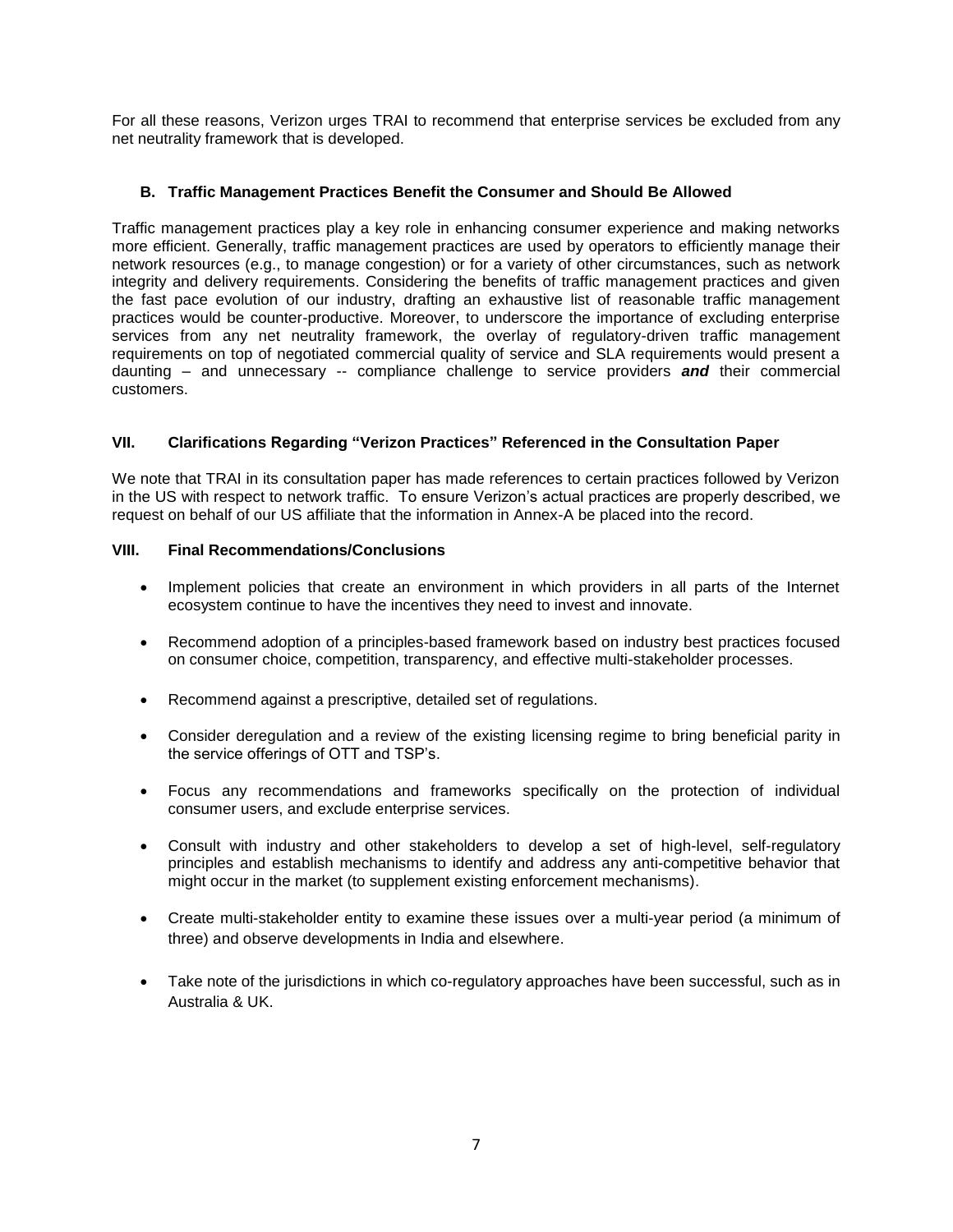For all these reasons, Verizon urges TRAI to recommend that enterprise services be excluded from any net neutrality framework that is developed.

# **B. Traffic Management Practices Benefit the Consumer and Should Be Allowed**

Traffic management practices play a key role in enhancing consumer experience and making networks more efficient. Generally, traffic management practices are used by operators to efficiently manage their network resources (e.g., to manage congestion) or for a variety of other circumstances, such as network integrity and delivery requirements. Considering the benefits of traffic management practices and given the fast pace evolution of our industry, drafting an exhaustive list of reasonable traffic management practices would be counter-productive. Moreover, to underscore the importance of excluding enterprise services from any net neutrality framework, the overlay of regulatory-driven traffic management requirements on top of negotiated commercial quality of service and SLA requirements would present a daunting – and unnecessary -- compliance challenge to service providers *and* their commercial customers.

# **VII. Clarifications Regarding "Verizon Practices" Referenced in the Consultation Paper**

We note that TRAI in its consultation paper has made references to certain practices followed by Verizon in the US with respect to network traffic. To ensure Verizon's actual practices are properly described, we request on behalf of our US affiliate that the information in Annex-A be placed into the record.

# **VIII. Final Recommendations/Conclusions**

- Implement policies that create an environment in which providers in all parts of the Internet ecosystem continue to have the incentives they need to invest and innovate.
- Recommend adoption of a principles-based framework based on industry best practices focused on consumer choice, competition, transparency, and effective multi-stakeholder processes.
- Recommend against a prescriptive, detailed set of regulations.
- Consider deregulation and a review of the existing licensing regime to bring beneficial parity in the service offerings of OTT and TSP's.
- Focus any recommendations and frameworks specifically on the protection of individual consumer users, and exclude enterprise services.
- Consult with industry and other stakeholders to develop a set of high-level, self-regulatory principles and establish mechanisms to identify and address any anti-competitive behavior that might occur in the market (to supplement existing enforcement mechanisms).
- Create multi-stakeholder entity to examine these issues over a multi-year period (a minimum of three) and observe developments in India and elsewhere.
- Take note of the jurisdictions in which co-regulatory approaches have been successful, such as in Australia & UK.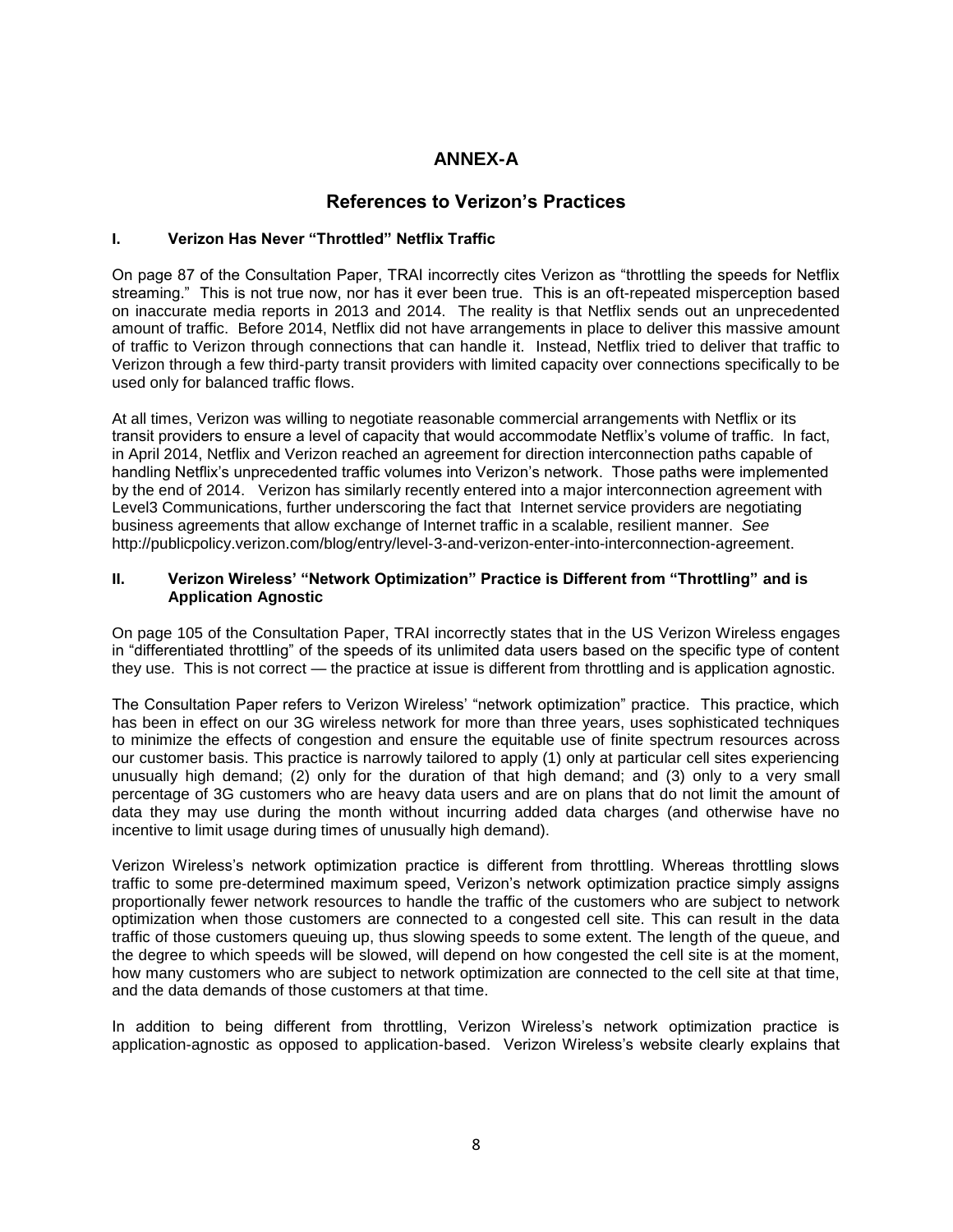# **ANNEX-A**

# **References to Verizon's Practices**

# **I. Verizon Has Never "Throttled" Netflix Traffic**

On page 87 of the Consultation Paper, TRAI incorrectly cites Verizon as "throttling the speeds for Netflix streaming." This is not true now, nor has it ever been true. This is an oft-repeated misperception based on inaccurate media reports in 2013 and 2014. The reality is that Netflix sends out an unprecedented amount of traffic. Before 2014, Netflix did not have arrangements in place to deliver this massive amount of traffic to Verizon through connections that can handle it. Instead, Netflix tried to deliver that traffic to Verizon through a few third-party transit providers with limited capacity over connections specifically to be used only for balanced traffic flows.

At all times, Verizon was willing to negotiate reasonable commercial arrangements with Netflix or its transit providers to ensure a level of capacity that would accommodate Netflix's volume of traffic. In fact, in April 2014, Netflix and Verizon reached an agreement for direction interconnection paths capable of handling Netflix's unprecedented traffic volumes into Verizon's network. Those paths were implemented by the end of 2014. Verizon has similarly recently entered into a major interconnection agreement with Level3 Communications, further underscoring the fact that Internet service providers are negotiating business agreements that allow exchange of Internet traffic in a scalable, resilient manner. *See* http://publicpolicy.verizon.com/blog/entry/level-3-and-verizon-enter-into-interconnection-agreement.

### **II. Verizon Wireless' "Network Optimization" Practice is Different from "Throttling" and is Application Agnostic**

On page 105 of the Consultation Paper, TRAI incorrectly states that in the US Verizon Wireless engages in "differentiated throttling" of the speeds of its unlimited data users based on the specific type of content they use. This is not correct — the practice at issue is different from throttling and is application agnostic.

The Consultation Paper refers to Verizon Wireless' "network optimization" practice. This practice, which has been in effect on our 3G wireless network for more than three years, uses sophisticated techniques to minimize the effects of congestion and ensure the equitable use of finite spectrum resources across our customer basis. This practice is narrowly tailored to apply (1) only at particular cell sites experiencing unusually high demand; (2) only for the duration of that high demand; and (3) only to a very small percentage of 3G customers who are heavy data users and are on plans that do not limit the amount of data they may use during the month without incurring added data charges (and otherwise have no incentive to limit usage during times of unusually high demand).

Verizon Wireless's network optimization practice is different from throttling. Whereas throttling slows traffic to some pre-determined maximum speed, Verizon's network optimization practice simply assigns proportionally fewer network resources to handle the traffic of the customers who are subject to network optimization when those customers are connected to a congested cell site. This can result in the data traffic of those customers queuing up, thus slowing speeds to some extent. The length of the queue, and the degree to which speeds will be slowed, will depend on how congested the cell site is at the moment, how many customers who are subject to network optimization are connected to the cell site at that time, and the data demands of those customers at that time.

In addition to being different from throttling, Verizon Wireless's network optimization practice is application-agnostic as opposed to application-based. Verizon Wireless's website clearly explains that